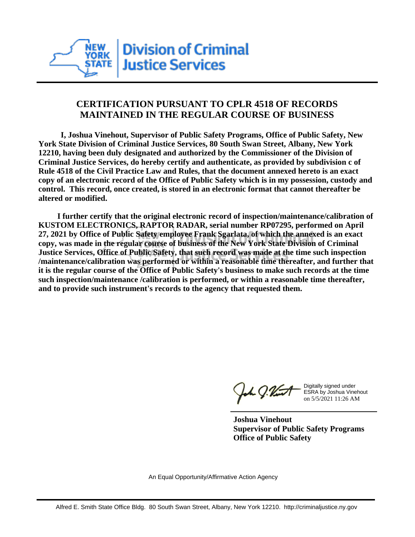

## **CERTIFICATION PURSUANT TO CPLR 4518 OF RECORDS MAINTAINED IN THE REGULAR COURSE OF BUSINESS**

 **I, Joshua Vinehout, Supervisor of Public Safety Programs, Office of Public Safety, New York State Division of Criminal Justice Services, 80 South Swan Street, Albany, New York 12210, having been duly designated and authorized by the Commissioner of the Division of Criminal Justice Services, do hereby certify and authenticate, as provided by subdivision c of Rule 4518 of the Civil Practice Law and Rules, that the document annexed hereto is an exact copy of an electronic record of the Office of Public Safety which is in my possession, custody and control. This record, once created, is stored in an electronic format that cannot thereafter be altered or modified.**

 **I further certify that the original electronic record of inspection/maintenance/calibration of KUSTOM ELECTRONICS, RAPTOR RADAR, serial number RP07295, performed on April 27, 2021 by Office of Public Safety employee Frank Sgarlata, of which the annexed is an exact copy, was made in the regular course of business of the New York State Division of Criminal Justice Services, Office of Public Safety, that such record was made at the time such inspection /maintenance/calibration was performed or within a reasonable time thereafter, and further that it is the regular course of the Office of Public Safety's business to make such records at the time such inspection/maintenance /calibration is performed, or within a reasonable time thereafter, and to provide such instrument's records to the agency that requested them.**

the J. Vint

Digitally signed under ESRA by Joshua Vinehout on 5/5/2021 11:26 AM

**Joshua Vinehout Supervisor of Public Safety Programs Office of Public Safety**

An Equal Opportunity/Affirmative Action Agency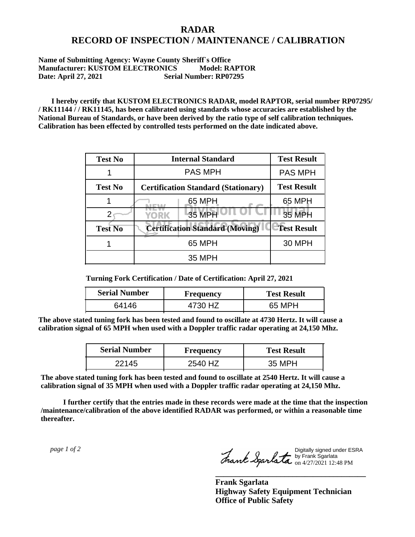## **RADAR RECORD OF INSPECTION / MAINTENANCE / CALIBRATION**

## **Name of Submitting Agency: Wayne County Sheriff`s Office Manufacturer: KUSTOM ELECTRONICS Model: RAPTOR Date: April 27, 2021 Serial Number: RP07295**

 **I hereby certify that KUSTOM ELECTRONICS RADAR, model RAPTOR, serial number RP07295/ / RK11144 / / RK11145, has been calibrated using standards whose accuracies are established by the National Bureau of Standards, or have been derived by the ratio type of self calibration techniques. Calibration has been effected by controlled tests performed on the date indicated above.**

| <b>Test No</b> | <b>Internal Standard</b>                   | <b>Test Result</b> |
|----------------|--------------------------------------------|--------------------|
|                | <b>PAS MPH</b>                             | <b>PAS MPH</b>     |
| <b>Test No</b> | <b>Certification Standard (Stationary)</b> | <b>Test Result</b> |
|                | 65 MPH                                     | 65 MPH             |
|                | 35 MPH<br>YORK                             | <b>35 MPH</b>      |
| <b>Test No</b> | <b>Certification Standard (Moving)</b>     | <b>Test Result</b> |
|                | 65 MPH                                     | <b>30 MPH</b>      |
|                | 35 MPH                                     |                    |

**Turning Fork Certification / Date of Certification: April 27, 2021**

| <b>Serial Number</b> | <b>Frequency</b> | <b>Test Result</b> |
|----------------------|------------------|--------------------|
| 64146                |                  | 65 MPH             |

**The above stated tuning fork has been tested and found to oscillate at 4730 Hertz. It will cause a calibration signal of 65 MPH when used with a Doppler traffic radar operating at 24,150 Mhz.**

| <b>Serial Number</b> | Frequency | <b>Test Result</b> |
|----------------------|-----------|--------------------|
| 22145                | 2540 HZ   | 35 MPH             |

**The above stated tuning fork has been tested and found to oscillate at 2540 Hertz. It will cause a calibration signal of 35 MPH when used with a Doppler traffic radar operating at 24,150 Mhz.**

 **I further certify that the entries made in these records were made at the time that the inspection /maintenance/calibration of the above identified RADAR was performed, or within a reasonable time thereafter.**

 *page 1 of 2* 

Digitally signed under ESRA by Frank Sgarlata on 4/27/2021 12:48 PM

**\_\_\_\_\_\_\_\_\_\_\_\_\_\_\_\_\_\_\_\_\_\_\_\_\_\_\_\_\_\_\_\_\_\_\_\_\_**

**Frank Sgarlata Highway Safety Equipment Technician Office of Public Safety**